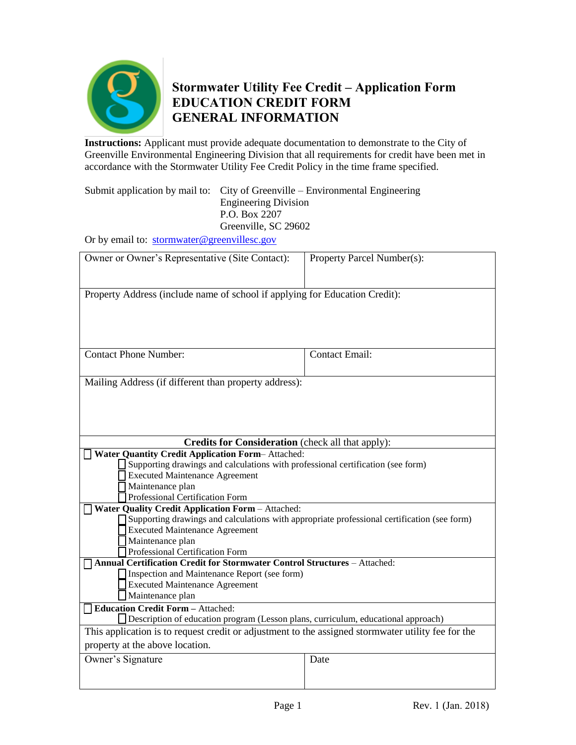

## **Stormwater Utility Fee Credit – Application Form EDUCATION CREDIT FORM GENERAL INFORMATION**

**Instructions:** Applicant must provide adequate documentation to demonstrate to the City of Greenville Environmental Engineering Division that all requirements for credit have been met in accordance with the Stormwater Utility Fee Credit Policy in the time frame specified.

Submit application by mail to: City of Greenville – Environmental Engineering Engineering Division P.O. Box 2207 Greenville, SC 29602

Or by email to: [stormwater@greenvillesc.gov](mailto:stormwater@greenvillesc.gov)

| Owner or Owner's Representative (Site Contact):                                                                     | Property Parcel Number(s): |  |
|---------------------------------------------------------------------------------------------------------------------|----------------------------|--|
|                                                                                                                     |                            |  |
| Property Address (include name of school if applying for Education Credit):                                         |                            |  |
|                                                                                                                     |                            |  |
|                                                                                                                     |                            |  |
|                                                                                                                     |                            |  |
| <b>Contact Phone Number:</b>                                                                                        | <b>Contact Email:</b>      |  |
|                                                                                                                     |                            |  |
| Mailing Address (if different than property address):                                                               |                            |  |
|                                                                                                                     |                            |  |
|                                                                                                                     |                            |  |
|                                                                                                                     |                            |  |
| <b>Credits for Consideration</b> (check all that apply):<br><b>Water Quantity Credit Application Form-Attached:</b> |                            |  |
| Supporting drawings and calculations with professional certification (see form)                                     |                            |  |
| <b>Executed Maintenance Agreement</b>                                                                               |                            |  |
| Maintenance plan                                                                                                    |                            |  |
| Professional Certification Form                                                                                     |                            |  |
| <b>Water Quality Credit Application Form - Attached:</b>                                                            |                            |  |
| Supporting drawings and calculations with appropriate professional certification (see form)                         |                            |  |
| <b>Executed Maintenance Agreement</b>                                                                               |                            |  |
| Maintenance plan                                                                                                    |                            |  |
| Professional Certification Form                                                                                     |                            |  |
| Annual Certification Credit for Stormwater Control Structures - Attached:                                           |                            |  |
| Inspection and Maintenance Report (see form)                                                                        |                            |  |
| Executed Maintenance Agreement                                                                                      |                            |  |
| Maintenance plan                                                                                                    |                            |  |
| <b>Education Credit Form - Attached:</b>                                                                            |                            |  |
| Description of education program (Lesson plans, curriculum, educational approach)                                   |                            |  |
| This application is to request credit or adjustment to the assigned stormwater utility fee for the                  |                            |  |
| property at the above location.                                                                                     |                            |  |
| Owner's Signature                                                                                                   | Date                       |  |
|                                                                                                                     |                            |  |